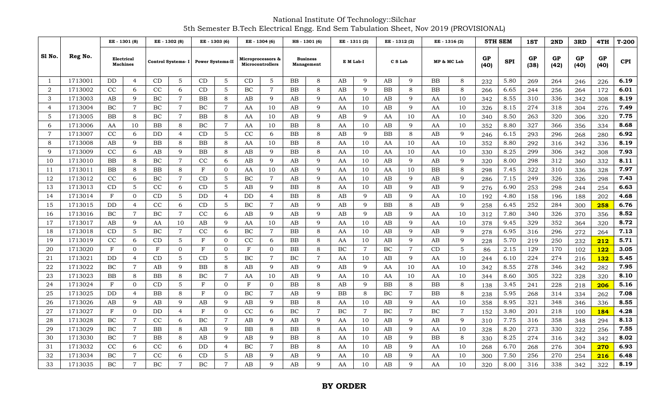National Institute Of Technology::Silchar 5th Semester B.Tech Electrical Engg. End Sem Tabulation Sheet, Nov 2019 (PROVISIONAL)

|                |         | EE - 1301 (8)<br>Electrical<br><b>Machines</b> |                |              | EE - 1302 (8)  | EE - 1303 (6) |                                     |            | EE - 1304 (6)                         |           | HS-1301 (6)                   |           | EE - 1311 (2)  |           | EE - 1312 (2)  |             | EE - 1316 (2)  |            | <b>5TH SEM</b> | 1ST        | 2ND        | 3RD        | 4TH        | $T-200$    |
|----------------|---------|------------------------------------------------|----------------|--------------|----------------|---------------|-------------------------------------|------------|---------------------------------------|-----------|-------------------------------|-----------|----------------|-----------|----------------|-------------|----------------|------------|----------------|------------|------------|------------|------------|------------|
| S1 No.         | Reg No. |                                                |                |              |                |               | Control Systems- I Power Systems-II |            | Microprocessors &<br>Microcontrollers |           | <b>Business</b><br>Management |           | E M Lab-I      | C S Lab   |                | MP & MC Lab |                | GP<br>(40) | <b>SPI</b>     | GP<br>(38) | GP<br>(42) | GP<br>(40) | GP<br>(40) | <b>CPI</b> |
| -1             | 1713001 | DD                                             | $\overline{4}$ | CD           | 5              | CD            | 5                                   | CD         | 5                                     | <b>BB</b> | 8                             | AB        | 9              | AB        | 9              | <b>BB</b>   | 8              | 232        | 5.80           | 269        | 264        | 246        | 226        | 6.19       |
| 2              | 1713002 | CC                                             | 6              | CC           | 6              | CD            | 5                                   | BC         | $\overline{7}$                        | <b>BB</b> | 8                             | AB        | 9              | BB        | 8              | <b>BB</b>   | 8              | 266        | 6.65           | 244        | 256        | 264        | 172        | 6.01       |
| 3              | 1713003 | AB                                             | 9              | BC           | $\overline{7}$ | BB            | 8                                   | AB         | 9                                     | AB        | 9                             | AA        | 10             | AB        | 9              | AA          | 10             | 342        | 8.55           | 310        | 336        | 342        | 308        | 8.19       |
| $\overline{4}$ | 1713004 | BC                                             | $\overline{7}$ | BC           | $\overline{7}$ | BC            | $\overline{7}$                      | AA         | 10                                    | AB        | 9                             | AA        | 10             | AB        | 9              | AA          | 10             | 326        | 8.15           | 274        | 318        | 304        | 276        | 7.49       |
| 5              | 1713005 | <b>BB</b>                                      | 8              | BC           | $\overline{7}$ | <b>BB</b>     | 8                                   | AA         | 10                                    | AB        | 9                             | AB        | 9              | AA        | 10             | AA          | 10             | 340        | 8.50           | 263        | 320        | 306        | 320        | 7.75       |
| 6              | 1713006 | AA                                             | 10             | <b>BB</b>    | 8              | BC            | $\overline{7}$                      | AA         | 10                                    | <b>BB</b> | 8                             | AA        | 10             | AB        | 9              | AA          | 10             | 352        | 8.80           | 327        | 366        | 356        | 334        | 8.68       |
| $\overline{7}$ | 1713007 | CC                                             | 6              | DD           | $\overline{4}$ | CD            | 5                                   | CC         | 6                                     | <b>BB</b> | 8                             | AB        | 9              | BB        | 8              | AB          | 9              | 246        | 6.15           | 293        | 296        | 268        | 280        | 6.92       |
| 8              | 1713008 | AB                                             | 9              | BB           | 8              | BB            | 8                                   | AA         | 10                                    | <b>BB</b> | 8                             | AA        | 10             | AA        | 10             | AA          | 10             | 352        | 8.80           | 292        | 316        | 342        | 336        | 8.19       |
| 9              | 1713009 | CC                                             | 6              | AB           | 9              | BB            | 8                                   | AB         | $\mathbf Q$                           | <b>BB</b> | $\,8\,$                       | AA        | 10             | AA        | 10             | AA          | 10             | 330        | 8.25           | 299        | 306        | 342        | 308        | 7.93       |
| 10             | 1713010 | <b>BB</b>                                      | 8              | BC           | $\overline{7}$ | CC            | 6                                   | AB         | 9                                     | AB        | 9                             | AA        | 10             | AB        | $\mathbf{Q}$   | AB          | 9              | 320        | 8.00           | 298        | 312        | 360        | 332        | 8.11       |
| 11             | 1713011 | <b>BB</b>                                      | 8              | BB           | 8              | F             | $\Omega$                            | AA         | 10                                    | AB        | 9                             | AA        | 10             | AA        | 10             | <b>BB</b>   | 8              | 298        | 7.45           | 322        | 310        | 336        | 328        | 7.97       |
| 12             | 1713012 | CC                                             | 6              | BC           | $\overline{7}$ | CD            | 5                                   | BC         | $\overline{7}$                        | AB        | 9                             | AA        | 10             | AB        | 9              | AB          | 9              | 286        | 7.15           | 249        | 326        | 326        | 298        | 7.43       |
| 13             | 1713013 | CD                                             | 5              | CC           | 6              | CD            | 5                                   | AB         | 9                                     | <b>BB</b> | 8                             | AA        | 10             | AB        | 9              | AB          | 9              | 276        | 6.90           | 253        | 298        | 244        | 254        | 6.63       |
| 14             | 1713014 | $_{\rm F}$                                     | $\Omega$       | CD           | 5              | DD            | $\overline{4}$                      | DD         | $\overline{4}$                        | BB        | 8                             | AB        | 9              | AB        | 9              | AA          | 10             | 192        | 4.80           | 158        | 196        | 188        | 202        | 4.68       |
| 15             | 1713015 | DD                                             | 4              | CC           | 6              | CD            | 5                                   | BC         | $\overline{7}$                        | AB        | 9                             | AB        | 9              | <b>BB</b> | 8              | AB          | 9              | 258        | 6.45           | 252        | 284        | 300        | 258        | 6.76       |
| 16             | 1713016 | BC                                             | $\overline{7}$ | BC           | $\overline{7}$ | CC            | 6                                   | AB         | 9                                     | AB        | 9                             | AB        | 9              | AB        | 9              | AA          | 10             | 312        | 7.80           | 340        | 326        | 370        | 356        | 8.52       |
| 17             | 1713017 | AB                                             | 9              | AA           | 10             | AB            | 9                                   | AA         | 10                                    | AB        | 9                             | AA        | 10             | AB        | 9              | AA          | 10             | 378        | 9.45           | 329        | 352        | 364        | 320        | 8.72       |
| 18             | 1713018 | CD                                             | 5              | BC           | $\overline{7}$ | CC            | 6                                   | BC         | $\overline{7}$                        | <b>BB</b> | 8                             | AA        | 10             | AB        | 9              | AB          | 9              | 278        | 6.95           | 316        | 296        | 272        | 264        | 7.13       |
| 19             | 1713019 | CC                                             | 6              | CD           | 5              | $_{\rm F}$    | $\mathbf{0}$                        | CC         | 6                                     | BB        | 8                             | AA        | 10             | AB        | 9              | AB          | 9              | 228        | 5.70           | 219        | 250        | 232        | 212        | 5.71       |
| 20             | 1713020 | $\mathbf{F}$                                   | $\Omega$       | $\mathbf{F}$ | $\Omega$       | F             | $\Omega$                            | F          | $\Omega$                              | <b>BB</b> | 8                             | BC        | $\overline{7}$ | BC        | $\overline{7}$ | CD          | $5\phantom{.}$ | 86         | 2.15           | 129        | 170        | 102        | <b>122</b> | 3.05       |
| 21             | 1713021 | DD                                             | $\overline{4}$ | CD           | 5              | CD            | 5                                   | BC         | $\overline{7}$                        | BC        | $\overline{7}$                | AA        | 10             | AB        | 9              | AA          | 10             | 244        | 6.10           | 224        | 274        | 216        | <b>132</b> | 5.45       |
| 22             | 1713022 | BC                                             | $\overline{7}$ | AB           | 9              | <b>BB</b>     | 8                                   | AB         | 9                                     | AB        | 9                             | AB        | 9              | AA        | 10             | AA          | 10             | 342        | 8.55           | 278        | 346        | 342        | 282        | 7.95       |
| 23             | 1713023 | BB                                             | 8              | <b>BB</b>    | 8              | BC            | $\overline{7}$                      | AA         | 10                                    | AB        | 9                             | AA        | 10             | AA        | 10             | AA          | 10             | 344        | 8.60           | 305        | 322        | 328        | 320        | 8.10       |
| 24             | 1713024 | $_{\rm F}$                                     | $\overline{0}$ | CD           | 5              | $\mathbf F$   | $\mathbf{0}$                        | $_{\rm F}$ | $\mathbf{0}$                          | BB        | 8                             | AB        | 9              | BB        | 8              | BB          | 8              | 138        | 3.45           | 241        | 228        | 218        | 206        | 5.16       |
| 25             | 1713025 | DD                                             | 4              | BB           | 8              | $\mathbf F$   | $\Omega$                            | BC         | $\overline{7}$                        | AB        | 9                             | <b>BB</b> | 8              | BC        | $\overline{7}$ | <b>BB</b>   | 8              | 238        | 5.95           | 268        | 314        | 334        | 262        | 7.08       |
| 26             | 1713026 | AB                                             | 9              | AB           | 9              | AB            | 9                                   | AB         | 9                                     | <b>BB</b> | 8                             | AA        | 10             | AB        | 9              | AA          | 10             | 358        | 8.95           | 321        | 348        | 346        | 336        | 8.55       |
| 27             | 1713027 | $_{\rm F}$                                     | $\overline{0}$ | DD           | $\overline{4}$ | $_{\rm F}$    | $\Omega$                            | CC         | 6                                     | BC        | $\overline{7}$                | BC        | $\overline{7}$ | BC        | $\overline{7}$ | BC          | $\overline{7}$ | 152        | 3.80           | 201        | 218        | 100        | 184        | 4.28       |
| 28             | 1713028 | BC                                             | $\overline{7}$ | CC           | 6              | BC            | $\overline{7}$                      | AB         | 9                                     | AB        | 9                             | AA        | 10             | AB        | 9              | AB          | 9              | 310        | 7.75           | 316        | 358        | 348        | 294        | 8.13       |
| 29             | 1713029 | BC                                             | $\overline{7}$ | BB           | 8              | AB            | 9                                   | BB         | 8                                     | BB        | 8                             | AA        | 10             | AB        | 9              | AA          | 10             | 328        | 8.20           | 273        | 330        | 322        | 256        | 7.55       |
| 30             | 1713030 | BC                                             | $\overline{7}$ | BB           | 8              | AB            | 9                                   | AB         | 9                                     | BB        | 8                             | AA        | 10             | AB        | 9              | BB          | 8              | 330        | 8.25           | 274        | 316        | 342        | 342        | 8.02       |
| 31             | 1713032 | CC                                             | 6              | CC           | 6              | DD            | $\overline{4}$                      | BC         | $\overline{7}$                        | BB        | 8                             | AA        | 10             | AB        | 9              | AA          | 10             | 268        | 6.70           | 268        | 276        | 304        | 270        | 6.93       |
| 32             | 1713034 | ВC                                             | $\overline{7}$ | CC           | 6              | CD            | 5                                   | AB         | 9                                     | AB        | 9                             | AA        | 10             | AB        | 9              | AA          | 10             | 300        | 7.50           | 256        | 270        | 254        | 216        | 6.48       |
| 33             | 1713035 | BC                                             | $\overline{7}$ | BC           | $\overline{7}$ | <b>BC</b>     | $\overline{7}$                      | AB         | 9                                     | AB        | 9                             | AA        | 10             | AB        | 9              | AA          | 10             | 320        | 8.00           | 316        | 338        | 342        | 322        | 8.19       |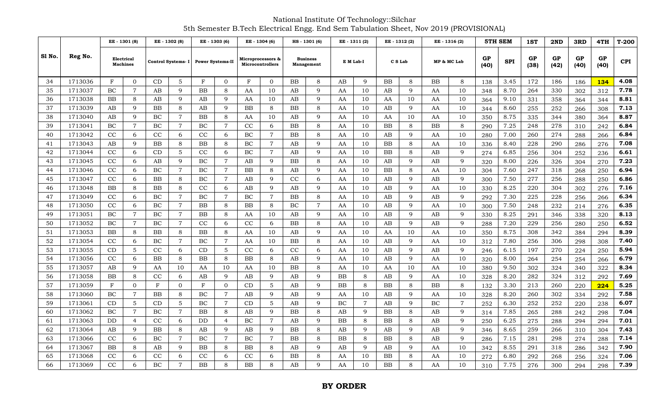National Institute Of Technology::Silchar 5th Semester B.Tech Electrical Engg. End Sem Tabulation Sheet, Nov 2019 (PROVISIONAL)

|        |         | EE - 1301 (8)<br>Electrical<br><b>Machines</b> |                |                   | EE - 1302 (8)                       |             | EE - 1303 (6)  |            | EE - 1304 (6)                         |             | HS - 1301 (6)                 |    | EE - 1311 (2)  |             | EE - 1312 (2) |             | EE - 1316 (2)  |            | 5TH SEM    | 1ST        | 2ND        | 3RD        | 4TH        | $T-200$ |
|--------|---------|------------------------------------------------|----------------|-------------------|-------------------------------------|-------------|----------------|------------|---------------------------------------|-------------|-------------------------------|----|----------------|-------------|---------------|-------------|----------------|------------|------------|------------|------------|------------|------------|---------|
| S1 No. | Reg No. |                                                |                |                   | Control Systems- I Power Systems-II |             |                |            | Microprocessors &<br>Microcontrollers |             | <b>Business</b><br>Management |    | E M Lab-I      | C S Lab     |               | MP & MC Lab |                | GP<br>(40) | <b>SPI</b> | GP<br>(38) | GP<br>(42) | GP<br>(40) | GP<br>(40) | CPI     |
| 34     | 1713036 | $\mathbf{F}$                                   | $\overline{0}$ | CD                |                                     | F           | $\Omega$       | F          | $\mathbf{0}$                          | ΒB          | 8                             | AВ | 9              | BB          | 8             | ΒB          | 8              | 138        | 3.45       | 172        | 186        | 186        | 134        | 4.08    |
| 35     | 1713037 | BC                                             | $\overline{7}$ | AB                | 9                                   | $_{\rm BB}$ | 8              | AA         | 10                                    | AB          | 9                             | AA | 10             | AВ          | 9             | AA          | 10             | 348        | 8.70       | 264        | 330        | 302        | 312        | 7.78    |
| 36     | 1713038 | ΒB                                             | 8              | AB                | 9                                   | AB          | $\mathbf{Q}$   | AA         | 10                                    | AB          | 9                             | AA | 10             | AA          | 10            | AA          | 10             | 364        | 9.10       | 331        | 358        | 364        | 344        | 8.81    |
| 37     | 1713039 | AB                                             | 9              | BB                | 8                                   | AB          | 9              | ${\rm BB}$ | 8                                     | ΒB          | 8                             | AA | 10             | AB          | 9             | AA          | 10             | 344        | 8.60       | 255        | 252        | 266        | 308        | 7.13    |
| 38     | 1713040 | AB                                             | 9              | BC                | $\overline{7}$                      | BB          | 8              | AA         | 10                                    | AB          | 9                             | AA | 10             | AA          | 10            | AA          | 10             | 350        | 8.75       | 335        | 344        | 380        | 364        | 8.87    |
| 39     | 1713041 | BC                                             | $\overline{7}$ | BC                | $\overline{7}$                      | BC          | $\overline{7}$ | CC         | 6                                     | BB          | 8                             | AA | 10             | BB          | 8             | <b>BB</b>   | 8              | 290        | 7.25       | 248        | 278        | 310        | 242        | 6.84    |
| 40     | 1713042 | CC                                             | 6              | CC                | 6                                   | CC          | 6              | BC         | $\overline{7}$                        | BB          | 8                             | AA | 10             | AB          | 9             | AA          | 10             | 280        | 7.00       | 260        | 274        | 288        | 266        | 6.84    |
| 41     | 1713043 | AB                                             | 9              | <b>BB</b>         | 8                                   | BB          | 8              | BC         | $\overline{7}$                        | AВ          | 9                             | AA | 10             | BB          | 8             | AA          | 10             | 336        | 8.40       | 228        | 290        | 286        | 276        | 7.08    |
| 42     | 1713044 | CC                                             | 6              | CD                | 5                                   | CC          | 6              | BC         | $\overline{7}$                        | AB          | 9                             | AA | 10             | BB          | 8             | AB          | 9              | 274        | 6.85       | 256        | 304        | 252        | 236        | 6.61    |
| 43     | 1713045 | CC                                             | 6              | AB                | 9                                   | BC          | $\overline{7}$ | AB         | 9                                     | BB          | 8                             | AA | 10             | AB          | 9             | AB          | 9              | 320        | 8.00       | 226        | 326        | 304        | 270        | 7.23    |
| 44     | 1713046 | CC                                             | 6              | BC                | $\overline{7}$                      | BC          | $\overline{7}$ | BB         | 8                                     | AВ          | 9                             | AA | 10             | BB          | 8             | AA          | 10             | 304        | 7.60       | 247        | 318        | 268        | 250        | 6.94    |
| 45     | 1713047 | CC                                             | 6              | <b>BB</b>         | 8                                   | BC          | $\overline{7}$ | AB         | 9                                     | CC          | 6                             | AA | 10             | AB          | 9             | AB          | 9              | 300        | 7.50       | 277        | 256        | 288        | 250        | 6.86    |
| 46     | 1713048 | $_{\rm BB}$                                    | 8              | <b>BB</b>         | 8                                   | CC          | 6              | AB         | $\mathbf{Q}$                          | AВ          | 9                             | AA | 10             | AB          | $\mathbf Q$   | AA          | 10             | 330        | 8.25       | 220        | 304        | 302        | 276        | 7.16    |
| 47     | 1713049 | CC                                             | 6              | BC                | $\overline{7}$                      | BC          | $\overline{7}$ | BC         | $\overline{7}$                        | $_{\rm BB}$ | $\,8\,$                       | AA | 10             | AB          | 9             | AB          | 9              | 292        | 7.30       | 225        | 228        | 256        | 266        | 6.34    |
| 48     | 1713050 | CC                                             | 6              | <b>BC</b>         | $\overline{7}$                      | BB          | 8              | BB         | 8                                     | ВC          | $\overline{7}$                | AA | 10             | AB          | 9             | AA          | 10             | 300        | 7.50       | 248        | 232        | 214        | 276        | 6.35    |
| 49     | 1713051 | <b>BC</b>                                      | $\overline{7}$ | BC                | $\overline{7}$                      | <b>BB</b>   | 8              | AA         | 10                                    | AB          | 9                             | AA | 10             | AB          | 9             | AB          | 9              | 330        | 8.25       | 291        | 346        | 338        | 320        | 8.13    |
| 50     | 1713052 | BC                                             | $\overline{7}$ | BC                | $\overline{7}$                      | CC          | 6              | CC         | 6                                     | BB          | 8                             | AA | 10             | AB          | $\mathbf Q$   | AB          | 9              | 288        | 7.20       | 229        | 256        | 280        | 250        | 6.52    |
| 51     | 1713053 | BB                                             | 8              | <b>BB</b>         | 8                                   | <b>BB</b>   | 8              | AA         | 10                                    | AB          | 9                             | AA | 10             | AA          | 10            | AA          | 10             | 350        | 8.75       | 308        | 342        | 384        | 294        | 8.39    |
| 52     | 1713054 | CC                                             | 6              | BC                | $\overline{7}$                      | BC          | $\overline{7}$ | AA         | 10                                    | BB          | 8                             | AA | 10             | AB          | 9             | AA          | 10             | 312        | 7.80       | 256        | 306        | 298        | 308        | 7.40    |
| 53     | 1713055 | CD                                             | 5              | CC                | 6                                   | CD          | 5              | CC         | 6                                     | CC          | 6                             | AA | 10             | AB          | 9             | AB          | 9              | 246        | 6.15       | 197        | 270        | 224        | 250        | 5.94    |
| 54     | 1713056 | CC                                             | 6              | BB                | 8                                   | BB          | 8              | ΒB         | 8                                     | AB          | 9                             | AA | 10             | AB          | 9             | AA          | 10             | 320        | 8.00       | 264        | 254        | 254        | 266        | 6.79    |
| 55     | 1713057 | AB                                             | 9              | AA                | 10                                  | AA          | 10             | AA         | 10                                    | ΒB          | 8                             | AA | 10             | AA          | 10            | AA          | 10             | 380        | 9.50       | 302        | 324        | 340        | 322        | 8.34    |
| 56     | 1713058 | $_{\rm BB}$                                    | 8              | CC                | 6                                   | AB          | 9              | AB         | $\mathbf{Q}$                          | AB          | 9                             | ΒB | 8              | AB          | 9             | AA          | 10             | 328        | 8.20       | 282        | 324        | 312        | 292        | 7.69    |
| 57     | 1713059 | $\mathbf F$                                    | $\overline{0}$ | $\mathbf F$       | 0                                   | ${\bf F}$   | $\mathbf{0}$   | CD         | 5                                     | AB          | $\mathbf Q$                   | ΒB | 8              | BB          | 8             | BB          | 8              | 132        | 3.30       | 213        | 260        | 220        | 224        | 5.25    |
| 58     | 1713060 | ВC                                             | $\overline{7}$ | <b>BB</b>         | 8                                   | BC          | $\overline{7}$ | AB         | 9                                     | AB          | 9                             | AA | 10             | AB          | 9             | AA          | 10             | 328        | 8.20       | 260        | 302        | 334        | 292        | 7.58    |
| 59     | 171306  | CD                                             | $\overline{5}$ | $\mathop{\rm CD}$ | 5                                   | BC          | $\overline{7}$ | CD         | 5                                     | AB          | $\mathbf Q$                   | BC | $\overline{7}$ | AB          | 9             | BC          | $\overline{7}$ | 252        | 6.30       | 252        | 252        | 220        | 238        | 6.07    |
| 60     | 1713062 | BC                                             | $\overline{7}$ | BC                | $\overline{7}$                      | BB          | 8              | AB         | 9                                     | BB          | 8                             | AВ | 9              | BB          | 8             | AB          | 9              | 314        | 7.85       | 265        | 288        | 242        | 298        | 7.04    |
| 61     | 1713063 | DD                                             | $\overline{4}$ | CC                | 6                                   | DD          | $\overline{4}$ | BC         | $\overline{7}$                        | AB          | 9                             | ΒB | 8              | BB          | 8             | AB          | 9              | 250        | 6.25       | 275        | 288        | 294        | 294        | 7.01    |
| 62     | 1713064 | AB                                             | 9              | BB                | 8                                   | AB          | 9              | AB         | 9                                     | $_{\rm BB}$ | 8                             | AB | 9              | AB          | 9             | AB          | 9              | 346        | 8.65       | 259        | 266        | 310        | 304        | 7.43    |
| 63     | 1713066 | CC                                             | 6              | BC                | $\overline{7}$                      | BC          | $\overline{7}$ | BC         | $\overline{7}$                        | ΒB          | 8                             | ΒB | 8              | BB          | 8             | AB          | 9              | 286        | 7.15       | 281        | 298        | 274        | 288        | 7.14    |
| 64     | 1713067 | $_{\rm BB}$                                    | 8              | AB                | 9                                   | BB          | 8              | BB         | 8                                     | AΒ          | 9                             | AΒ | 9              | AВ          | 9             | AA          | 10             | 342        | 8.55       | 291        | 318        | 286        | 342        | 7.90    |
| 65     | 1713068 | CC                                             | 6              | CC                | 6                                   | CC          | 6              | CC         | 6                                     | ΒB          | 8                             | AA | 10             | ΒB          | 8             | AA          | 10             | 272        | 6.80       | 292        | 268        | 256        | 324        | 7.06    |
| 66     | 1713069 | CC                                             | 6              | ВC                | $\overline{7}$                      | BB          | 8              | ΒB         | 8                                     | AB          | $\mathbf Q$                   | AA | 10             | $_{\rm BB}$ | 8             | AA          | 10             | 310        | 7.75       | 276        | 300        | 294        | 298        | 7.39    |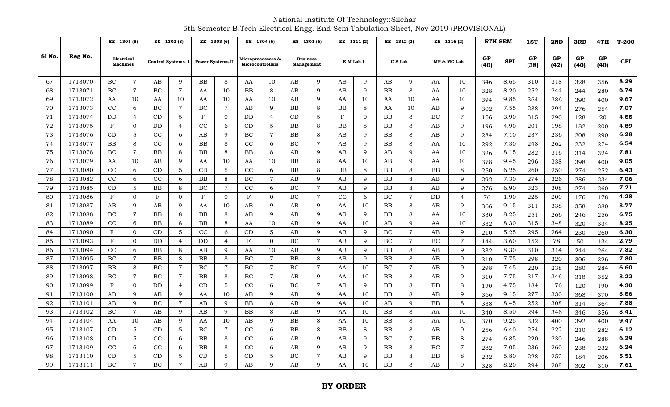National Institute Of Technology::Silchar 5th Semester B.Tech Electrical Engg. End Sem Tabulation Sheet, Nov 2019 (PROVISIONAL)

|       |         |                               | EE - 1301 (8)  |            | EE - 1302 (8)  |                                     | EE - 1303 (6)  |                                       | EE - 1304 (6)  |                               | HS-1301 (6)    |            | EE-1311(2)     |           | EE - 1312 (2)  |             | EE - 1316 (2)  |            | <b>5TH SEM</b> | 1ST        | 2ND        | 3RD               | 4TH        | $T-200$    |
|-------|---------|-------------------------------|----------------|------------|----------------|-------------------------------------|----------------|---------------------------------------|----------------|-------------------------------|----------------|------------|----------------|-----------|----------------|-------------|----------------|------------|----------------|------------|------------|-------------------|------------|------------|
| S1 No | Reg No. | Electrical<br><b>Machines</b> |                |            |                | Control Systems- I Power Systems-II |                | Microprocessors &<br>Microcontrollers |                | <b>Business</b><br>Management |                |            | E M Lab-I      | C S Lab   |                | MP & MC Lab |                | GP<br>(40) | <b>SPI</b>     | GP<br>(38) | GP<br>(42) | <b>GP</b><br>(40) | GP<br>(40) | <b>CPI</b> |
| 67    | 1713070 | BC                            | $\overline{7}$ | AB         | 9              | BB                                  | 8              | AA                                    | 10             | AB                            | 9              | AB         | 9              | AB        | $\mathbf{Q}$   | AA          | 10             | 346        | 8.65           | 310        | 318        | 328               | 356        | 8.29       |
| 68    | 1713071 | BC                            | $\overline{7}$ | BC         | $\overline{7}$ | AA                                  | 10             | ΒB                                    | 8              | AB                            | 9              | AB         | 9              | BB        | 8              | AA          | 10             | 328        | 8.20           | 252        | 244        | 244               | 280        | 6.74       |
| 69    | 1713072 | AA                            | 10             | AA         | 10             | AA                                  | 10             | AA                                    | 10             | AB                            | 9              | AA         | 10             | AA        | 10             | AA          | 10             | 394        | 9.85           | 364        | 386        | 390               | 400        | 9.67       |
| 70    | 1713073 | CC                            | 6              | BC         | $\overline{7}$ | BC                                  | $\overline{7}$ | AB                                    | 9              | <b>BB</b>                     | 8              | <b>BB</b>  | 8              | AA        | 10             | AB          | 9              | 302        | 7.55           | 288        | 294        | 276               | 254        | 7.07       |
| 71    | 1713074 | DD                            | $\overline{4}$ | CD         | 5              | F                                   | $\mathbf{0}$   | DD                                    | $\overline{4}$ | CD                            | 5              | $_{\rm F}$ | $\overline{0}$ | <b>BB</b> | 8              | <b>BC</b>   | $\overline{7}$ | 156        | 3.90           | 315        | 290        | 128               | 20         | 4.55       |
| 72    | 1713075 | $_{\rm F}$                    | $\mathbf{0}$   | <b>DD</b>  | $\overline{4}$ | CC                                  | 6              | CD                                    | 5              | <b>BB</b>                     | 8              | <b>BB</b>  | 8              | <b>BB</b> | 8              | AB          | 9              | 196        | 4.90           | 201        | 198        | 182               | 200        | 4.89       |
| 73    | 1713076 | CD                            | 5              | CC         | 6              | AB                                  | 9              | BC                                    | $\overline{7}$ | <b>BB</b>                     | 8              | AB         | 9              | <b>BB</b> | 8              | AB          | 9              | 284        | 7.10           | 237        | 236        | 208               | 290        | 6.28       |
| 74    | 1713077 | BB                            | 8              | CC         | 6              | BB                                  | 8              | CC                                    | 6              | BC                            | $\overline{7}$ | AB         | 9              | BB        | 8              | AA          | 10             | 292        | 7.30           | 248        | 262        | 232               | 274        | 6.54       |
| 75    | 1713078 | BC                            | $\overline{7}$ | <b>BB</b>  | 8              | BB                                  | 8              | ΒB                                    | 8              | AB                            | 9              | AB         | 9              | AB        | $\mathbf{Q}$   | AA          | 10             | 326        | 8.15           | 282        | 316        | 314               | 324        | 7.81       |
| 76    | 1713079 | AA                            | 10             | AB         | 9              | AA                                  | 10             | AA                                    | 10             | <b>BB</b>                     | 8              | AA         | 10             | AB        | $\mathbf{Q}$   | AA          | 10             | 378        | 9.45           | 296        | 338        | 398               | 400        | 9.05       |
| 77    | 1713080 | CC                            | 6              | CD         | 5              | CD                                  | 5              | CC                                    | 6              | <b>BB</b>                     | 8              | <b>BB</b>  | 8              | <b>BB</b> | 8              | BB          | 8              | 250        | 6.25           | 260        | 250        | 274               | 252        | 6.43       |
| 78    | 1713082 | CC                            | 6              | CC         | 6              | <b>BB</b>                           | 8              | BC                                    | $\overline{7}$ | AB                            | 9              | AB         | 9              | <b>BB</b> | 8              | AB          | 9              | 292        | 7.30           | 274        | 326        | 286               | 234        | 7.06       |
| 79    | 1713085 | CD                            | 5              | <b>BB</b>  | 8              | BC                                  | $\overline{7}$ | CC                                    | 6              | BC                            | $\overline{7}$ | AB         | 9              | <b>BB</b> | 8              | AB          | 9              | 276        | 6.90           | 323        | 308        | 274               | 260        | 7.21       |
| 80    | 1713086 | $_{\rm F}$                    | $\Omega$       | $_{\rm F}$ | $\overline{0}$ | $\mathbf{F}$                        | $\mathbf{0}$   | $_{\rm F}$                            | $\Omega$       | BC                            | $\overline{7}$ | CC         | 6              | BC        | $\overline{7}$ | DD          | $\overline{4}$ | 76         | 1.90           | 225        | 200        | 176               | 178        | 4.28       |
| 81    | 1713087 | AB                            | 9              | AB         | 9              | AA                                  | 10             | AB                                    | 9              | AB                            | 9              | AA         | 10             | <b>BB</b> | 8              | AB          | 9              | 366        | 9.15           | 311        | 338        | 358               | 380        | 8.77       |
| 82    | 1713088 | ВC                            | $\overline{7}$ | <b>BB</b>  | 8              | BB                                  | 8              | AB                                    | 9              | AB                            | 9              | AB         | 9              | BB        | 8              | AA          | 10             | 330        | 8.25           | 251        | 266        | 246               | 256        | 6.75       |
| 83    | 1713089 | CC                            | 6              | <b>BB</b>  | 8              | BB                                  | 8              | AA                                    | 10             | AB                            | 9              | AA         | 10             | AB        | 9              | AA          | 10             | 332        | 8.30           | 315        | 348        | 320               | 334        | 8.25       |
| 84    | 1713090 | $\mathbf{F}$                  | $\Omega$       | CD         | 5              | CC                                  | 6              | CD                                    | 5              | AB                            | 9              | AB         | 9              | BC        | $\overline{7}$ | AB          | 9              | 210        | 5.25           | 295        | 264        | 230               | 260        | 6.30       |
| 85    | 1713093 | $\mathbf{F}$                  | $\Omega$       | <b>DD</b>  | $\overline{4}$ | DD                                  | $\overline{4}$ | $_{\rm F}$                            | $\Omega$       | <b>BC</b>                     | $\overline{7}$ | AB         | 9              | BC        | $\overline{7}$ | <b>BC</b>   | $\overline{7}$ | 144        | 3.60           | 152        | 78         | 50                | 134        | 2.79       |
| 86    | 1713094 | CC                            | 6              | <b>BB</b>  | 8              | AB                                  | 9              | AA                                    | 10             | AB                            | 9              | AB         | 9              | <b>BB</b> | 8              | AB          | 9              | 332        | 8.30           | 310        | 314        | 244               | 264        | 7.32       |
| 87    | 1713095 | BC                            | $\overline{7}$ | <b>BB</b>  | 8              | <b>BB</b>                           | 8              | BC                                    | $\overline{7}$ | <b>BB</b>                     | 8              | AB         | 9              | <b>BB</b> | 8              | AB          | 9              | 310        | 7.75           | 298        | 320        | 306               | 326        | 7.80       |
| 88    | 1713097 | BB                            | 8              | BC         | $\overline{7}$ | BC                                  | $\overline{7}$ | BC                                    | $\overline{7}$ | <b>BC</b>                     | $\overline{7}$ | AA         | 10             | BC        | $\overline{7}$ | AB          | 9              | 298        | 7.45           | 220        | 238        | 280               | 284        | 6.60       |
| 89    | 1713098 | BC                            | $\overline{7}$ | BC         | $\overline{7}$ | BB                                  | 8              | BC                                    | $\overline{7}$ | AB                            | 9              | AA         | 10             | BB        | 8              | AB          | 9              | 310        | 7.75           | 317        | 346        | 318               | 352        | 8.22       |
| 90    | 1713099 | $_{\rm F}$                    | $\mathbf{0}$   | DD         | $\overline{4}$ | CD                                  | 5              | CC                                    | 6              | BC                            | $\overline{7}$ | AB         | 9              | BB        | 8              | ΒB          | 8              | 190        | 4.75           | 184        | 176        | 120               | 190        | 4.30       |
| 91    | 1713100 | AB                            | 9              | AB         | 9              | AA                                  | 10             | AB                                    | 9              | AB                            | 9              | AA         | 10             | BB        | 8              | AB          | 9              | 366        | 9.15           | 277        | 330        | 368               | 370        | 8.56       |
| 92    | 171310  | AB                            | 9              | BC         | 7              | AB                                  | 9              | ΒB                                    | 8              | AB                            | 9              | AA         | 10             | AB        | $\mathbf{Q}$   | ΒB          | 8              | 338        | 8.45           | 252        | 308        | 314               | 364        | 7.88       |
| 93    | 1713102 | BC                            | $\overline{7}$ | AB         | 9              | AB                                  | 9              | BB                                    | 8              | AB                            | 9              | AA         | $10\,$         | BB        | 8              | AA          | 10             | 340        | 8.50           | 294        | 346        | 346               | 356        | 8.41       |
| 94    | 1713104 | AA                            | 10             | AB         | 9              | AA                                  | 10             | AB                                    | 9              | BB                            | 8              | AA         | 10             | BB        | 8              | AA          | 10             | 370        | 9.25           | 332        | 400        | 392               | 400        | 9.47       |
| 95    | 1713107 | CD                            | 5              | CD         | 5              | BC                                  | $\overline{7}$ | CC                                    | 6              | BB                            | 8              | <b>BB</b>  | 8              | BB        | 8              | AB          | 9              | 256        | 6.40           | 254        | 222        | 210               | 282        | 6.12       |
| 96    | 1713108 | CD                            | 5              | CC         | 6              | BB                                  | 8              | CC                                    | 6              | AB                            | 9              | AB         | 9              | BC        | $\overline{7}$ | ΒB          | 8              | 274        | 6.85           | 220        | 230        | 246               | 288        | 6.29       |
| 97    | 1713109 | CC                            | 6              | CC         | 6              | BB                                  | 8              | CC                                    | 6              | AB                            | 9              | AB         | 9              | BB        | 8              | BC          | $\overline{7}$ | 282        | 7.05           | 236        | 260        | 238               | 232        | 6.24       |
| 98    | 1713110 | CD                            | 5              | CD         | 5              | CD                                  | 5              | CD                                    | 5              | BC                            | $\overline{7}$ | AB         | q              | BB        | 8              | ΒB          | 8              | 232        | 5.80           | 228        | 252        | 184               | 206        | 5.51       |
| 99    | 1713111 | BC                            | $\overline{7}$ | BC         | $\overline{7}$ | AB                                  | $\mathbf Q$    | AB                                    | $\mathbf Q$    | AB                            | 9              | AA         | 10             | BB        | 8              | AB          | 9              | 328        | 8.20           | 294        | 288        | 302               | 310        | 7.61       |